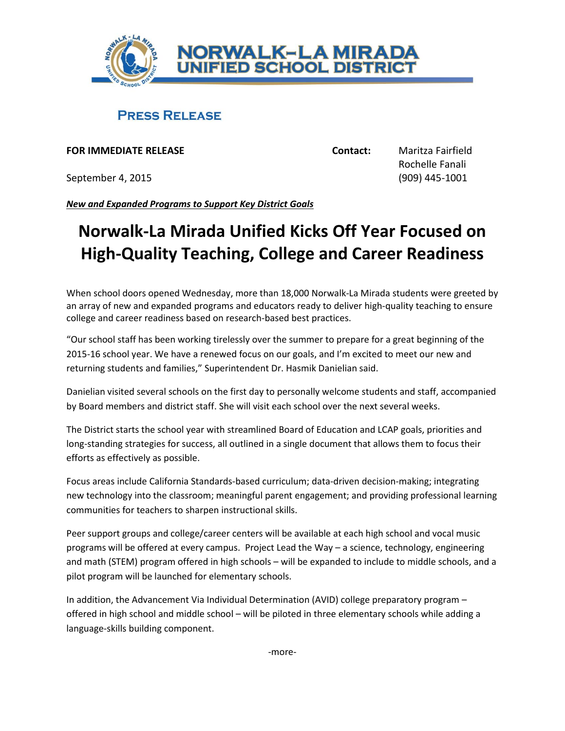

## **PRESS RELEASE**

**FOR IMMEDIATE RELEASE Contact:** Maritza Fairfield

September 4, 2015 (909) 445-1001

Rochelle Fanali

*New and Expanded Programs to Support Key District Goals*

## **Norwalk-La Mirada Unified Kicks Off Year Focused on High-Quality Teaching, College and Career Readiness**

When school doors opened Wednesday, more than 18,000 Norwalk-La Mirada students were greeted by an array of new and expanded programs and educators ready to deliver high-quality teaching to ensure college and career readiness based on research-based best practices.

"Our school staff has been working tirelessly over the summer to prepare for a great beginning of the 2015-16 school year. We have a renewed focus on our goals, and I'm excited to meet our new and returning students and families," Superintendent Dr. Hasmik Danielian said.

Danielian visited several schools on the first day to personally welcome students and staff, accompanied by Board members and district staff. She will visit each school over the next several weeks.

The District starts the school year with streamlined Board of Education and LCAP goals, priorities and long-standing strategies for success, all outlined in a single document that allows them to focus their efforts as effectively as possible.

Focus areas include California Standards-based curriculum; data-driven decision-making; integrating new technology into the classroom; meaningful parent engagement; and providing professional learning communities for teachers to sharpen instructional skills.

Peer support groups and college/career centers will be available at each high school and vocal music programs will be offered at every campus. Project Lead the Way – a science, technology, engineering and math (STEM) program offered in high schools – will be expanded to include to middle schools, and a pilot program will be launched for elementary schools.

In addition, the Advancement Via Individual Determination (AVID) college preparatory program – offered in high school and middle school – will be piloted in three elementary schools while adding a language-skills building component.